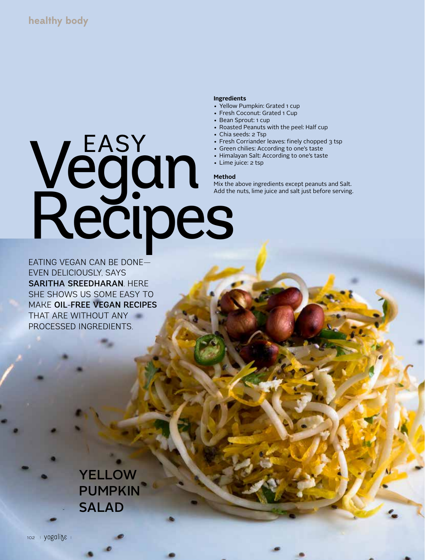#### **Ingredients**

- Yellow Pumpkin: Grated 1 cup
- Fresh Coconut: Grated 1 Cup
- Bean Sprout: 1 cup
- Roasted Peanuts with the peel: Half cup
- Chia seeds: 2 Tsp
- Fresh Corriander leaves: finely chopped 3 tsp
- Green chilies: According to one's taste
- Himalayan Salt: According to one's taste
- Lime juice: 2 tsp

#### **Method**

Mix the above ingredients except peanuts and Salt. Add the nuts, lime juice and salt just before serving.

# Vegan Recipes EASY

EATING VEGAN CAN BE DONE— EVEN DELICIOUSLY, SAYS SARITHA SREEDHARAN. HERE SHE SHOWS US SOME EASY TO MAKE OIL-FREE VEGAN RECIPES THAT ARE WITHOUT ANY PROCESSED INGREDIENTS.

> **YELLOW** PUMPKIN SALAD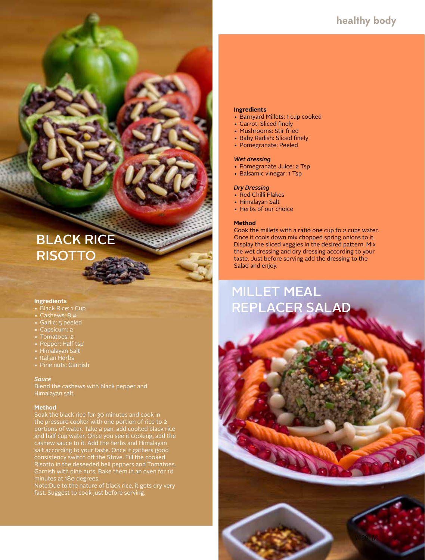### **healthy body**

## BLACK RICE **RISOTTC**

#### **Ingredients**

- Black Rice: 1 Cup
- 
- Garlic: 5 peeled
- Capsicum: 2
- 
- Pepper: Half tsp
- Himalayan Salt
- Italian Herbs • Pine nuts: Garnish

#### *Sauce*

Blend the cashews with black pepper and Himalayan salt.

#### **Method**

Soak the black rice for 30 minutes and cook in the pressure cooker with one portion of rice to 2 portions of water. Take a pan, add cooked black rice and half cup water. Once you see it cooking, add the cashew sauce to it. Add the herbs and Himalayan salt according to your taste. Once it gathers good consistency switch off the Stove. Fill the cooked Risotto in the deseeded bell peppers and Tomatoes. minutes at 180 degrees.

Note:Due to the nature of black rice, it gets dry very fast. Suggest to cook just before serving.

#### **Ingredients**

- Barnyard Millets: 1 cup cooked
- Carrot: Sliced finely
- Mushrooms: Stir fried
- Baby Radish: Sliced finely
- Pomegranate: Peeled

#### *Wet dressing*

- Pomegranate Juice: 2 Tsp
- Balsamic vinegar: 1 Tsp

#### *Dry Dressing*

- Red Chilli Flakes
- Himalayan Salt
- Herbs of our choice

#### **Method**

Cook the millets with a ratio one cup to 2 cups water. Once it cools down mix chopped spring onions to it. Display the sliced veggies in the desired pattern. Mix the wet dressing and dry dressing according to your taste. Just before serving add the dressing to the Salad and enjoy.

## MILLET MEAL REPLACER SALAD